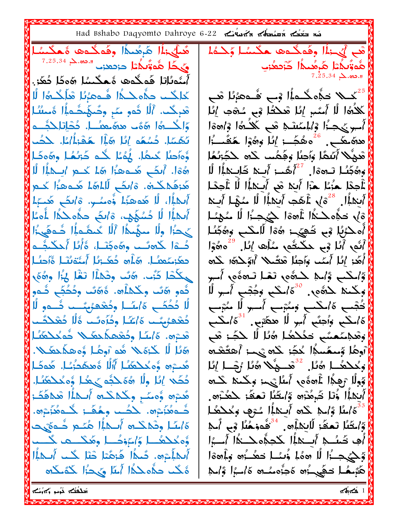Had Bshabo Daqyomto Dahroye 6-22 هُلَّىٰٓ ذَٰمًا هَٰٓ مِثْلُهُ ۖ وَهُمَكُمْ هُ هَكُسُهُ ۖ هُم أَيْرَ أَلْمَ وَهُدَّدُهُ هَذَّمَا وَحَدُّهُ يَ هَا هُوتُمگُمْ دَحَمْنِ "٥٠٠ 7.25.34 هُ**ەوَّىدُنا هَرمُمىدُا كَرْدِهُ**زِبِ<br>«.دە.چى 7.25.34 أَمْدَىٰلُهَا هُمجُمْهِ مُحجَّمِيًا هَءَدًا دُهَرَ. كَـــلا حَذَّهكُــمارًا وْبِ فُـــمحْرُبُا مْبِ $z^{25}$ كَلِكُت حَدُّه كَذَا فَتَحَمَّرُنَا مْلَكُوهَا لُل هْبِكُت. ٱلْلَّ ثُمُو مَنْزٍ وِضُهُنَّدُواْلِ ةُمِسْتَالِ لَكْلُمُا لَّا أَمَّى إِنَّا هُكْتُا فِي ـُـ﴿ إِنَّا وَالْحُدْوَا وَوَّى مِنْ مِمْسَالِ دُجْلَالِكِيْد أَسِرِجِيجِدًا وْالمِمَسْدِ هَي كَلَّـْهَا وْاهِمَا تَعْسَلَ. حُسُمَه إِنَا هَذَا هَذَا لَمَقْتَلُهُمْ. حَجُب هِ وَهُ وَ عَلَى اللَّهُ وَ وَ وَ الْمَقَالَ اللَّهُ وَ وَ الْمَقَالَ الْمَقَالَ الْمَقَالَ الْمَقَا وْوَاٰحِلًا خَيْجًا. يُوْمًا حُدْ جَرْبُهُـا وِرَوْوَجًا ِّ شَيْبًا *أَسْهَا وَأَجِبًا وِهَٰ*مُت كَلِّهِ لِلْجَابُ**مُ**ا 86. أَبِكَ هُـومُ: 16 كَـو أَبِـجَلَمْ الْمَـامُ وَهُجُنُـا نَــْ130 كُلُّهُـــز أَيــٰذا خَابِـنْدَا لَٰا لَٰا َأَجِدًا هُنَا هَزَا أَبَدَ هُو أَبِدَا اُ أَ أَجِدًا هُزفَهكُـ هَ، وْالضَّ لَلْلهَا هُــومْزَا حُــو أَبْكِيزًا، لَا هُدِهِنَا وُوسُبٍ. وَأَبِضَ هَبِيَا أَبِيْدَاْ. ^ ^ 3 لَا مَكْتِ أَبِيْدَاْ لَا سُهْدَا أَبِيْدَا ۖ أَبِكِياً لَا حُسُكُمِي، وَابِضَ حِكْوِيكِمَا لِمُوسَلِ هَلِي حَجَّمِحْكُمَا غُرْجَةَ لِحَكِجِدًا لَلْا سُجِئَا لَا حَيْدًا ولَا مِجْمَعًا أَلَّا جُيعَْدِيًّا ذَّمَرَ أُهِ لِأَبَٰلٍ فِي خَيْبٍ: هُوْا لَا كُبِ وَهُجُبُ ا كْتْمَا جْلِيْفْ وْهُوجُنْسَا، وْأَمْلَ أَحْكَيْفُ أَنُّهِ أَنَّا فِي حَكْمَتُم مُأْهَا إِنَّاً. <sup>29</sup>هُوَّا حعَدْمَعِصُلِ هَاْرِهِ حُعَدِيْلِ أَمِنْقَاسُلِ وَٱحِسُلِ أُهَٰذِ إِنَّا أَمَّم وَاَجِبُا شَفَّىلا أَاوِّكْلَهُ! كُلَّهَ حِكْتُمْ دَّنْتٍ. وَهَذَا تَقْلُ لِهُ: وَهُوَ وَّاسْكَب وَّاسِدِ حَــوَّى تَسْا تَــ9هُو أُسِرِ ثُدو ۞نٌــ وِـكْـٰهُـلُهُ. ۞۞نٌــا وِدُهُكِم شُـدو وَكَّىٰنَا لِلْأَوْلِ. <sup>30</sup>ەُمْشَى وَجُثِّبِ أَسِرِ لَ*ّا* تُجْب ة/مكْب ومُبْبَب أُمبر لَّا مُبْبَب<br>ة/مكْب واُجنَّب أَمِر لَّا هكَّبْب ا<sup>31</sup>ة/مكْب لًا دُدُكَـــ هَ/منّــا ودُهْدْرُمِمَّـــب دُــدو لًا كُعْدَبُهُــد هُ/عُـُـل وكُلُّمَتْت هُلَّا كُعْلَـكُــد قدْرِهِ. هَامْنَا وِدُهُمْكُمْدَهُمْ دُوَيْكُمْ الْمُحْمَدُ وْهَجْسُمْسَي حَكُلْهُا هُنَا لًا لِلْجَةِ هُي كَانًا لَّا كَرْهَىْ هُو ْبُوعًا وُوْهِكُمْحَفَىْ!. أَرْوَعُا وَمِعْمَىلِهِ الْكُتُمْ لَآهِ رَبِّي أَهْتُقُدُهِ وكُحْشَا هُنَا.  $\int_{0}^{32}$ شَــؤُ $\int_{0}^{32}$  وُحُحْشًا إِنَّا هُبْرُه وُهكْكْفُلْ أَٱلْلْ ةُهدَهُدَٰ;يُـْلْ. هُدَكُـلْ دُكُلا إِلَٰا وَلَا 166كُمْ يَحْدُ وُوحُكِكْتُا. تَوَوْلًا تَرْجَعُ! تَمْرَوْنَ لَمِنْا يَهْدِ وَكَمَنَا كَمْ يَ مُدْوَه وُمسًا وكُلّْكُلُّه أَسْلَالُ هُلَّفَكُ: |أَنكلِمْ|| وُتَل كَبِرِهُنْزِهِ وَإِيضَا تَحقَرَ كَحَدْرَهِ . كُدەدُبْرە. كَكُس وهُكُمْ گَدەدُبْرە. أَهُمُ مَثَلًا وَجُمْعِهِ كَلَّهُ أَيْتِمَا إِلَّا مُتَوَى وَخُلَّتُكُمْ ا ةامنا وشمكته أبلهأا هُنت هُدةَيت وَّ/مَثَلًا تَحفَّ; لَّابِدْبُرُه ِ. <sup>34</sup>ْفُوفِحُ*نَّ*ا وْجِ أَمْدِ أُڢ خَسُـــمِ أَبِــٰمَلَمَا كَجِمْهِكــٰدًا أَســُرَا ؤەندىغىما ۆاتۈخىل وئىگىمە گىم أَبِهِ أَسْرَمَ. شَجْأَ فَرَهَٰمَا خَبَا كَبِ أَبِهِ أَا وَّكِيجِيًّا لَّا هِمَا ذُبُّلَ حَعُيَّةٌ وَلَمِهِ إِ ةَكَبْ حَدُّهِ حَكَّا أَمَّا وَيَحْزَلُ كَدَّدُهِ هَزَهُما حَيَّىٰ وَ مَحْوَى مَعْنَهِ وَالْجَمْعَ الْمُؤْمَنَ كَتْفَتْكَمْ فَهُومْ وَكَاوُنْكُمْ